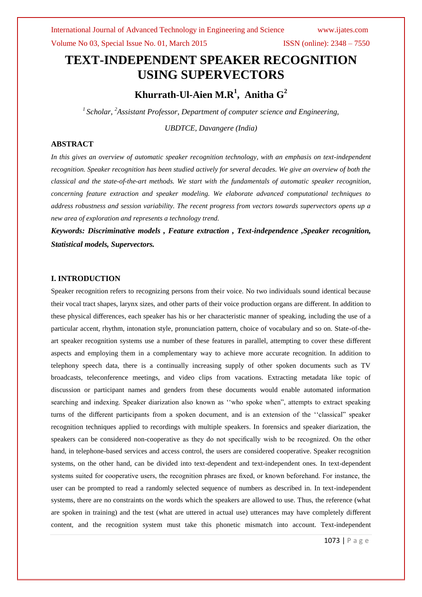Volume No 03, Special Issue No. 01, March 2015 ISSN (online): 2348 – 7550

# **TEXT-INDEPENDENT SPEAKER RECOGNITION USING SUPERVECTORS**

**Khurrath-Ul-Aien M.R<sup>1</sup> , Anitha G<sup>2</sup>**

*1 Scholar, <sup>2</sup>Assistant Professor, Department of computer science and Engineering,*

*UBDTCE, Davangere (India)*

# **ABSTRACT**

*In this gives an overview of automatic speaker recognition technology, with an emphasis on text-independent recognition. Speaker recognition has been studied actively for several decades. We give an overview of both the classical and the state-of-the-art methods. We start with the fundamentals of automatic speaker recognition, concerning feature extraction and speaker modeling. We elaborate advanced computational techniques to address robustness and session variability. The recent progress from vectors towards supervectors opens up a new area of exploration and represents a technology trend.*

*Keywords: Discriminative models , Feature extraction , Text-independence ,Speaker recognition, Statistical models, Supervectors.*

#### **I. INTRODUCTION**

Speaker recognition refers to recognizing persons from their voice. No two individuals sound identical because their vocal tract shapes, larynx sizes, and other parts of their voice production organs are different. In addition to these physical differences, each speaker has his or her characteristic manner of speaking, including the use of a particular accent, rhythm, intonation style, pronunciation pattern, choice of vocabulary and so on. State-of-theart speaker recognition systems use a number of these features in parallel, attempting to cover these different aspects and employing them in a complementary way to achieve more accurate recognition. In addition to telephony speech data, there is a continually increasing supply of other spoken documents such as TV broadcasts, teleconference meetings, and video clips from vacations. Extracting metadata like topic of discussion or participant names and genders from these documents would enable automated information searching and indexing. Speaker diarization also known as ''who spoke when", attempts to extract speaking turns of the different participants from a spoken document, and is an extension of the ''classical" speaker recognition techniques applied to recordings with multiple speakers. In forensics and speaker diarization, the speakers can be considered non-cooperative as they do not specifically wish to be recognized. On the other hand, in telephone-based services and access control, the users are considered cooperative. Speaker recognition systems, on the other hand, can be divided into text-dependent and text-independent ones. In text-dependent systems suited for cooperative users, the recognition phrases are fixed, or known beforehand. For instance, the user can be prompted to read a randomly selected sequence of numbers as described in. In text-independent systems, there are no constraints on the words which the speakers are allowed to use. Thus, the reference (what are spoken in training) and the test (what are uttered in actual use) utterances may have completely different content, and the recognition system must take this phonetic mismatch into account. Text-independent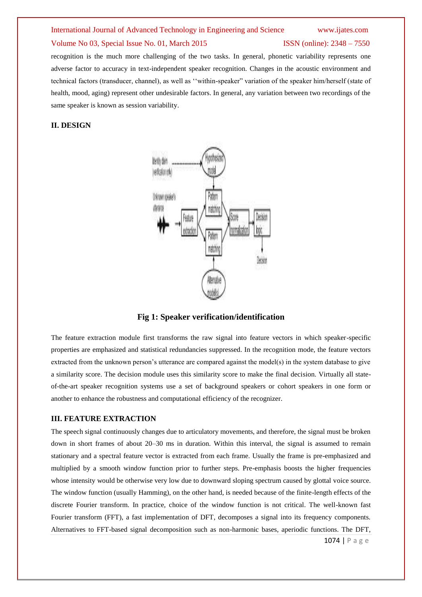#### International Journal of Advanced Technology in Engineering and Science www.ijates.com

## Volume No 03, Special Issue No. 01, March 2015 ISSN (online): 2348 – 7550

recognition is the much more challenging of the two tasks. In general, phonetic variability represents one adverse factor to accuracy in text-independent speaker recognition. Changes in the acoustic environment and technical factors (transducer, channel), as well as ''within-speaker" variation of the speaker him/herself (state of health, mood, aging) represent other undesirable factors. In general, any variation between two recordings of the same speaker is known as session variability.

### **II. DESIGN**



**Fig 1: Speaker verification/identification**

The feature extraction module first transforms the raw signal into feature vectors in which speaker-specific properties are emphasized and statistical redundancies suppressed. In the recognition mode, the feature vectors extracted from the unknown person's utterance are compared against the model(s) in the system database to give a similarity score. The decision module uses this similarity score to make the final decision. Virtually all stateof-the-art speaker recognition systems use a set of background speakers or cohort speakers in one form or another to enhance the robustness and computational efficiency of the recognizer.

### **III. FEATURE EXTRACTION**

The speech signal continuously changes due to articulatory movements, and therefore, the signal must be broken down in short frames of about 20–30 ms in duration. Within this interval, the signal is assumed to remain stationary and a spectral feature vector is extracted from each frame. Usually the frame is pre-emphasized and multiplied by a smooth window function prior to further steps. Pre-emphasis boosts the higher frequencies whose intensity would be otherwise very low due to downward sloping spectrum caused by glottal voice source. The window function (usually Hamming), on the other hand, is needed because of the finite-length effects of the discrete Fourier transform. In practice, choice of the window function is not critical. The well-known fast Fourier transform (FFT), a fast implementation of DFT, decomposes a signal into its frequency components. Alternatives to FFT-based signal decomposition such as non-harmonic bases, aperiodic functions. The DFT,

1074 | P a g e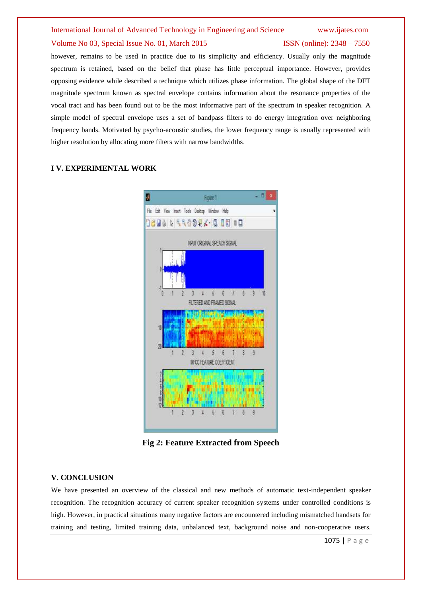# International Journal of Advanced Technology in Engineering and Science www.ijates.com

## Volume No 03, Special Issue No. 01, March 2015 ISSN (online): 2348 – 7550

however, remains to be used in practice due to its simplicity and efficiency. Usually only the magnitude spectrum is retained, based on the belief that phase has little perceptual importance. However, provides opposing evidence while described a technique which utilizes phase information. The global shape of the DFT magnitude spectrum known as spectral envelope contains information about the resonance properties of the vocal tract and has been found out to be the most informative part of the spectrum in speaker recognition. A simple model of spectral envelope uses a set of bandpass filters to do energy integration over neighboring frequency bands. Motivated by psycho-acoustic studies, the lower frequency range is usually represented with higher resolution by allocating more filters with narrow bandwidths.

# **I V. EXPERIMENTAL WORK**



**Fig 2: Feature Extracted from Speech**

# **V. CONCLUSION**

We have presented an overview of the classical and new methods of automatic text-independent speaker recognition. The recognition accuracy of current speaker recognition systems under controlled conditions is high. However, in practical situations many negative factors are encountered including mismatched handsets for training and testing, limited training data, unbalanced text, background noise and non-cooperative users.